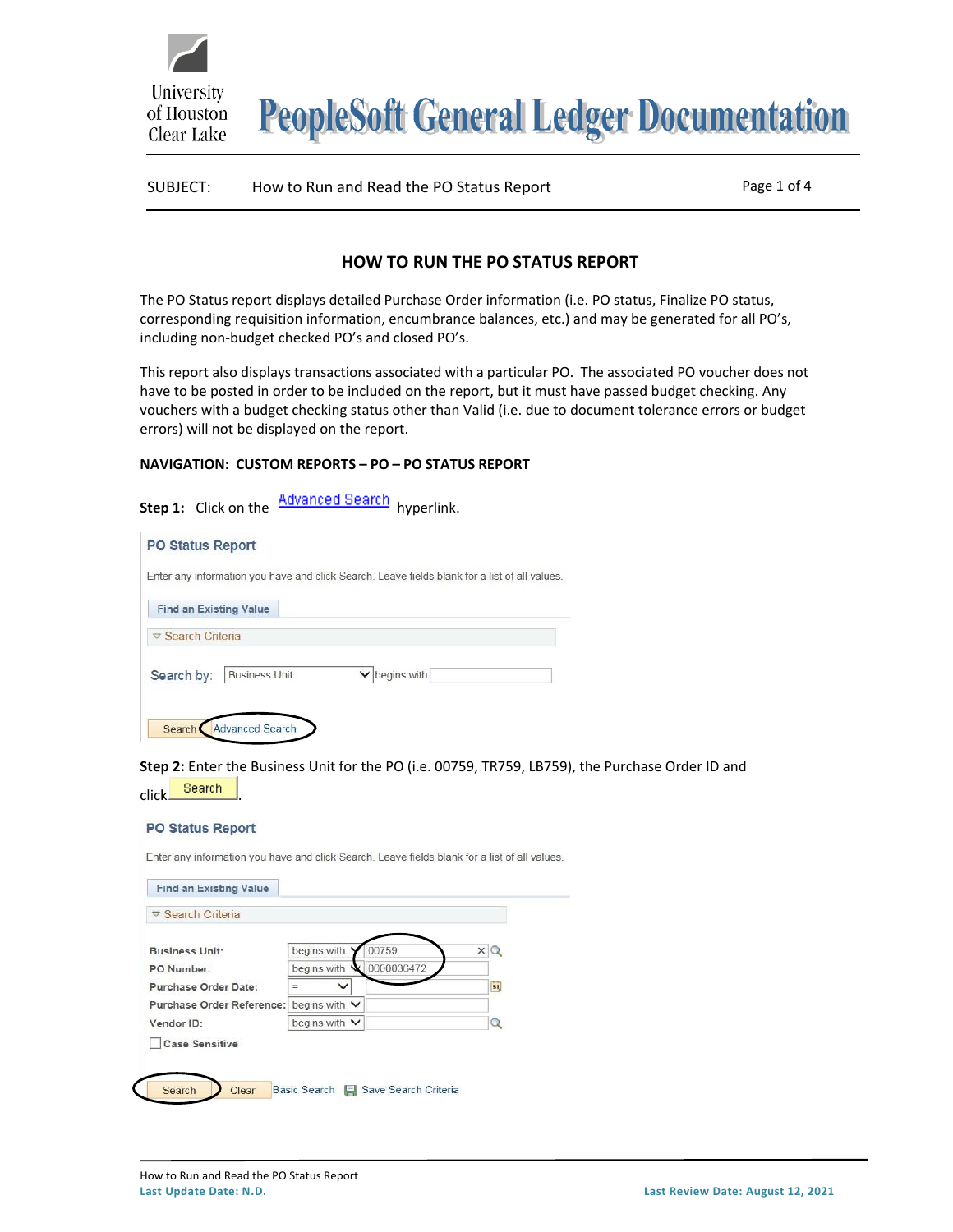**PeopleSoft General Ledger Documentation** 

# SUBJECT: How to Run and Read the PO Status Report Page 1 of 4

# **HOW TO RUN THE PO STATUS REPORT**

The PO Status report displays detailed Purchase Order information (i.e. PO status, Finalize PO status, corresponding requisition information, encumbrance balances, etc.) and may be generated for all PO's, including non-budget checked PO's and closed PO's.

This report also displays transactions associated with a particular PO. The associated PO voucher does not have to be posted in order to be included on the report, but it must have passed budget checking. Any vouchers with a budget checking status other than Valid (i.e. due to document tolerance errors or budget errors) will not be displayed on the report.

### **NAVIGATION: CUSTOM REPORTS – PO – PO STATUS REPORT**

University

of Houston Clear Lake

|            | Step 1: Click on the          | <u>Advanced Search</u> | hyperlink.                                                                                    |
|------------|-------------------------------|------------------------|-----------------------------------------------------------------------------------------------|
|            | <b>PO Status Report</b>       |                        |                                                                                               |
|            |                               |                        | Enter any information you have and click Search. Leave fields blank for a list of all values. |
|            | <b>Find an Existing Value</b> |                        |                                                                                               |
|            | ▽ Search Criteria             |                        |                                                                                               |
| Search by: | <b>Business Unit</b>          |                        | begins with                                                                                   |
| Search     | <b>Advanced Search</b>        |                        |                                                                                               |

**Step 2:** Enter the Business Unit for the PO (i.e. 00759, TR759, LB759), the Purchase Order ID and click Search

| <b>Find an Existing Value</b> |                           |                          |
|-------------------------------|---------------------------|--------------------------|
| $\nabla$ Search Criteria      |                           |                          |
| <b>Business Unit:</b>         | begins with<br>00759      | $\times Q$               |
| PO Number:                    | 0000036472<br>begins with |                          |
| Purchase Order Date:          | $\checkmark$              | $\overline{\mathbf{31}}$ |
| Purchase Order Reference:     | begins with $\vee$        |                          |
| Vendor ID:                    | begins with $\vee$        | 9                        |
| <b>Case Sensitive</b>         |                           |                          |

**PO Status Report**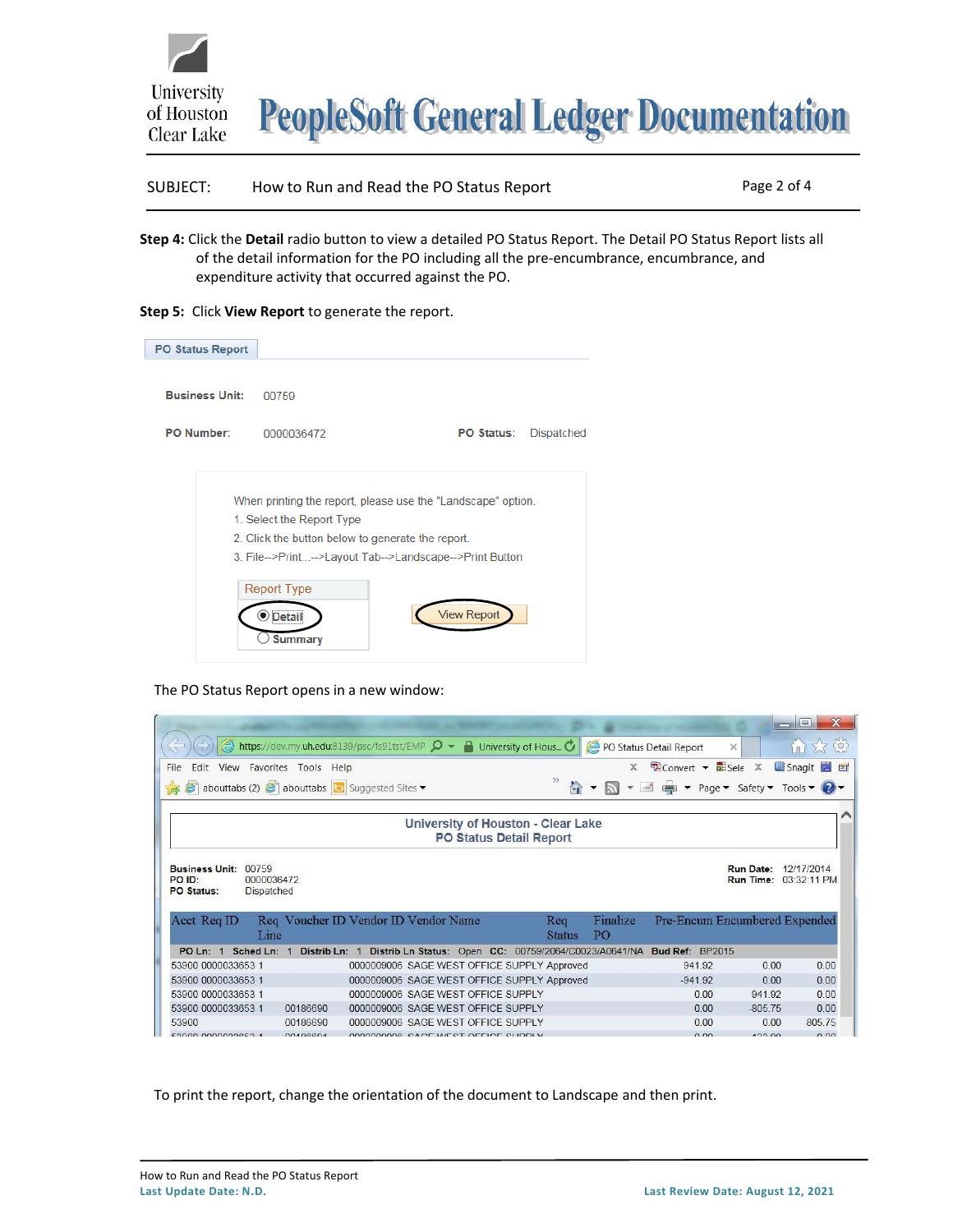



SUBJECT: How to Run and Read the PO Status Report Page 2 of 4

- **Step 4:** Click the **Detail** radio button to view a detailed PO Status Report. The Detail PO Status Report lists all of the detail information for the PO including all the pre-encumbrance, encumbrance, and expenditure activity that occurred against the PO.
- **Step 5:** Click **View Report** to generate the report.

| <b>PO Status Report</b> |                                                                                                                                                                                                                                                     |                    |            |
|-------------------------|-----------------------------------------------------------------------------------------------------------------------------------------------------------------------------------------------------------------------------------------------------|--------------------|------------|
| <b>Business Unit:</b>   | 00759                                                                                                                                                                                                                                               |                    |            |
| <b>PO Number:</b>       | 0000036472                                                                                                                                                                                                                                          | <b>PO Status:</b>  | Dispatched |
|                         | When printing the report, please use the "Landscape" option.<br>1. Select the Report Type<br>2. Click the button below to generate the report.<br>3. File-->Print-->Layout Tab-->Landscape-->Print Button<br><b>Report Type</b><br>Detai<br>Summary | <b>View Report</b> |            |

#### The PO Status Report opens in a new window:

|                                                                                    |          |                                                                                                               |                                |                      |                         |                                                    |          |           | $\mathbf{x}$<br>$\Box$ e                   |
|------------------------------------------------------------------------------------|----------|---------------------------------------------------------------------------------------------------------------|--------------------------------|----------------------|-------------------------|----------------------------------------------------|----------|-----------|--------------------------------------------|
|                                                                                    |          | $\bullet$ https://dev.my.uh.edu.8139/psc/fs91tst/EMP $\circ$ $\bullet$ $\bullet$ University of Hous $\bullet$ |                                |                      | PO Status Detail Report |                                                    | $\times$ |           | 介太な                                        |
| Edit View Favorites Tools Help<br>File                                             |          |                                                                                                               |                                |                      | $\mathbf{x}$            | $\bigoplus$ Convert $\bullet$ $\bigoplus$ Sele $X$ |          |           | Snagit E                                   |
| abouttabs (2) $\bullet$ abouttabs $\bullet$ Suggested Sites $\bullet$              |          |                                                                                                               |                                | 合                    |                         |                                                    |          |           | ▼ ■ ■ ▼ Page ▼ Safety ▼ Tools ▼ ?          |
|                                                                                    |          | University of Houston - Clear Lake                                                                            | <b>PO Status Detail Report</b> |                      |                         |                                                    |          |           |                                            |
| <b>Business Unit:</b><br>00759<br>PO ID:<br>0000036472<br>PO Status:<br>Dispatched |          |                                                                                                               |                                |                      |                         |                                                    |          | Run Time: | <b>Run Date: 12/17/2014</b><br>03:32:11 PM |
|                                                                                    |          |                                                                                                               |                                |                      | Finalize                |                                                    |          |           |                                            |
| Acct Req ID<br>Line                                                                |          | Req Voucher ID Vendor ID Vendor Name                                                                          |                                | Req<br><b>Status</b> | PO <sub>1</sub>         |                                                    |          |           | Pre-Encum Encumbered Expended              |
| PO Ln: 1 Sched Ln: 1                                                               |          | Distrib Ln: 1 Distrib Ln Status: Open CC: 00759/2064/C0023/A0641/NA Bud Ref: BP2015                           |                                |                      |                         |                                                    |          |           |                                            |
| 53900 0000033653 1                                                                 |          | 0000009006 SAGE WEST OFFICE SUPPLY Approved                                                                   |                                |                      |                         | 941 92                                             |          | 0.00      | 0.00                                       |
| 53900 0000033653 1                                                                 |          | 0000009006 SAGE WEST OFFICE SUPPLY Approved                                                                   |                                |                      |                         | $-941.92$                                          |          | 0.00      | 0.00                                       |
| 53900 0000033653 1                                                                 |          | 0000009006 SAGE WEST OFFICE SUPPLY                                                                            |                                |                      |                         |                                                    | 0.00     | 941.92    | 0.00                                       |
| 53900 0000033653 1                                                                 | 00186690 | 0000009006 SAGE WEST OFFICE SUPPLY                                                                            |                                |                      |                         |                                                    | 0.00     | $-80575$  | 0.00                                       |
| 53900                                                                              | 00186690 | 0000009006 SAGE WEST OFFICE SUPPLY                                                                            |                                |                      |                         |                                                    | 0.00     | 0.00      | 805 75                                     |

To print the report, change the orientation of the document to Landscape and then print.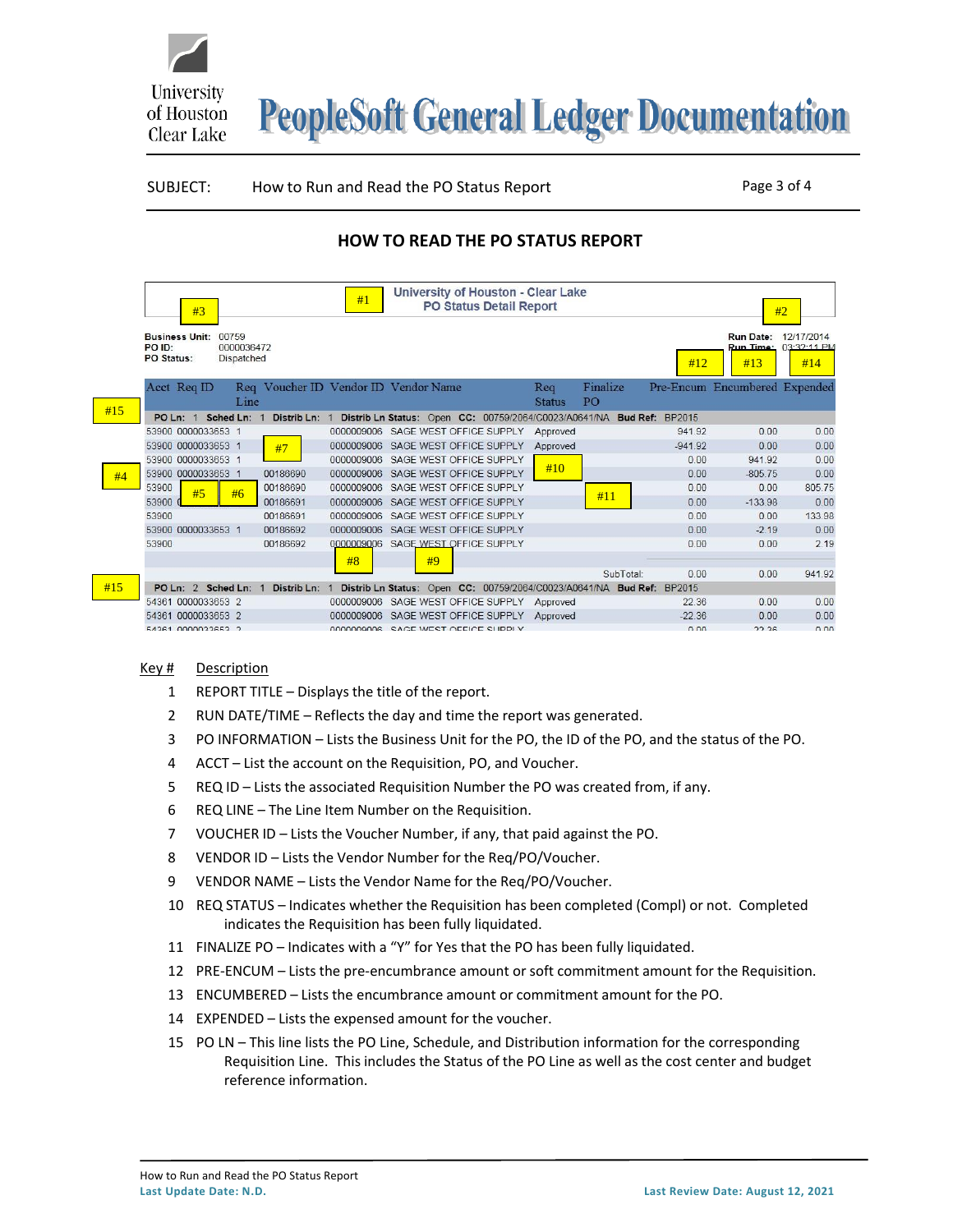

**PeopleSoft General Ledger Documentation** 

#### SUBJECT: How to Run and Read the PO Status Report Page 3 of 4

# **HOW TO READ THE PO STATUS REPORT**

|     | #3                                                            |                          |               | #1         |                                      | University of Houston - Clear Lake<br><b>PO Status Detail Report</b>  |               |                 |           |                               | #2                                 |
|-----|---------------------------------------------------------------|--------------------------|---------------|------------|--------------------------------------|-----------------------------------------------------------------------|---------------|-----------------|-----------|-------------------------------|------------------------------------|
|     | <b>Business Unit:</b><br>00759<br>PO ID:<br><b>PO Status:</b> | 0000036472<br>Dispatched |               |            |                                      |                                                                       |               |                 | #12       | Run Date:<br>Run Time:<br>#13 | 12/17/2014<br>$03:32:11$ PM<br>#14 |
|     | Acct Req ID                                                   |                          |               |            | Req Voucher ID Vendor ID Vendor Name |                                                                       | Req           | Finalize        |           | Pre-Encum Encumbered Expended |                                    |
|     |                                                               | Line                     |               |            |                                      |                                                                       | <b>Status</b> | PO <sub>1</sub> |           |                               |                                    |
| #15 | POLn: 1                                                       | Sched Ln: 1              | Distrib Ln: 1 |            |                                      | Distrib Ln Status: Open CC: 00759/2064/C0023/A0641/NA Bud Ref: BP2015 |               |                 |           |                               |                                    |
|     | 53900 0000033653 1                                            |                          |               |            |                                      | 0000009006 SAGE WEST OFFICE SUPPLY                                    | Approved      |                 | 941.92    | 0.00                          | 0.00                               |
|     | 53900 0000033653 1                                            |                          | #7            | 0000009006 |                                      | SAGE WEST OFFICE SUPPLY                                               | Approved      |                 | $-941.92$ | 0.00                          | 0.00                               |
|     | 53900 0000033653 1                                            |                          |               | 0000009006 |                                      | SAGE WEST OFFICE SUPPLY                                               |               |                 | 0.00      | 941.92                        | 0.00                               |
| #4  | 53900 0000033653 1                                            |                          | 00186690      | 0000009006 |                                      | SAGE WEST OFFICE SUPPLY                                               | #10           |                 | 0.00      | $-805.75$                     | 0.00                               |
|     | 53900<br>#5                                                   | #6                       | 00186690      | 0000009006 |                                      | SAGE WEST OFFICE SUPPLY                                               |               |                 | 0.00      | 0.00                          | 805.75                             |
|     | 53900                                                         |                          | 00186691      | 0000009006 |                                      | SAGE WEST OFFICE SUPPLY                                               |               | #11             | 0.00      | $-133.98$                     | 0.00                               |
|     | 53900                                                         |                          | 00186691      | 0000009006 |                                      | SAGE WEST OFFICE SUPPLY                                               |               |                 | 0.00      | 0.00                          | 133.98                             |
|     | 53900 0000033653 1                                            |                          | 00186692      | 0000009006 |                                      | SAGE WEST OFFICE SUPPLY                                               |               |                 | 0.00      | $-2.19$                       | 0.00                               |
|     | 53900                                                         |                          | 00186692      | 0000009006 |                                      | SAGE WEST OFFICE SUPPLY                                               |               |                 | 0.00      | 0.00                          | 2.19                               |
|     |                                                               |                          |               | #8         | #9                                   |                                                                       |               |                 |           |                               |                                    |
|     |                                                               |                          |               |            |                                      |                                                                       |               | SubTotal:       | 0.00      | 0.00                          | 941.92                             |
| #15 | PO Ln: 2 Sched Ln: 1                                          |                          | Distrib Ln: 1 |            |                                      | Distrib Ln Status: Open CC: 00759/2064/C0023/A0641/NA Bud Ref: BP2015 |               |                 |           |                               |                                    |
|     | 54361 0000033653 2                                            |                          |               | 0000009006 |                                      | SAGE WEST OFFICE SUPPLY                                               | Approved      |                 | 22.36     | 0.00                          | 0.00                               |
|     | 54361 0000033653 2                                            |                          |               | 0000009006 |                                      | SAGE WEST OFFICE SUPPLY                                               | Approved      |                 | $-22.36$  | 0.00                          | 0.00                               |
|     | 54261 0000022652 2                                            |                          |               |            |                                      | BROBBOOK SACE WEST OFFICE SLIPPLY                                     |               |                 | 0.00      | 22.26                         | 0.00                               |

#### Key # Description

- 1 REPORT TITLE Displays the title of the report.
- 2 RUN DATE/TIME Reflects the day and time the report was generated.
- 3 PO INFORMATION Lists the Business Unit for the PO, the ID of the PO, and the status of the PO.
- 4 ACCT List the account on the Requisition, PO, and Voucher.
- 5 REQ ID Lists the associated Requisition Number the PO was created from, if any.
- 6 REQ LINE The Line Item Number on the Requisition.
- 7 VOUCHER ID Lists the Voucher Number, if any, that paid against the PO.
- 8 VENDOR ID Lists the Vendor Number for the Req/PO/Voucher.
- 9 VENDOR NAME Lists the Vendor Name for the Req/PO/Voucher.
- 10 REQ STATUS Indicates whether the Requisition has been completed (Compl) or not. Completed indicates the Requisition has been fully liquidated.
- 11 FINALIZE PO Indicates with a "Y" for Yes that the PO has been fully liquidated.
- 12 PRE-ENCUM Lists the pre-encumbrance amount or soft commitment amount for the Requisition.
- 13 ENCUMBERED Lists the encumbrance amount or commitment amount for the PO.
- 14 EXPENDED Lists the expensed amount for the voucher.
- 15 PO LN This line lists the PO Line, Schedule, and Distribution information for the corresponding Requisition Line. This includes the Status of the PO Line as well as the cost center and budget reference information.